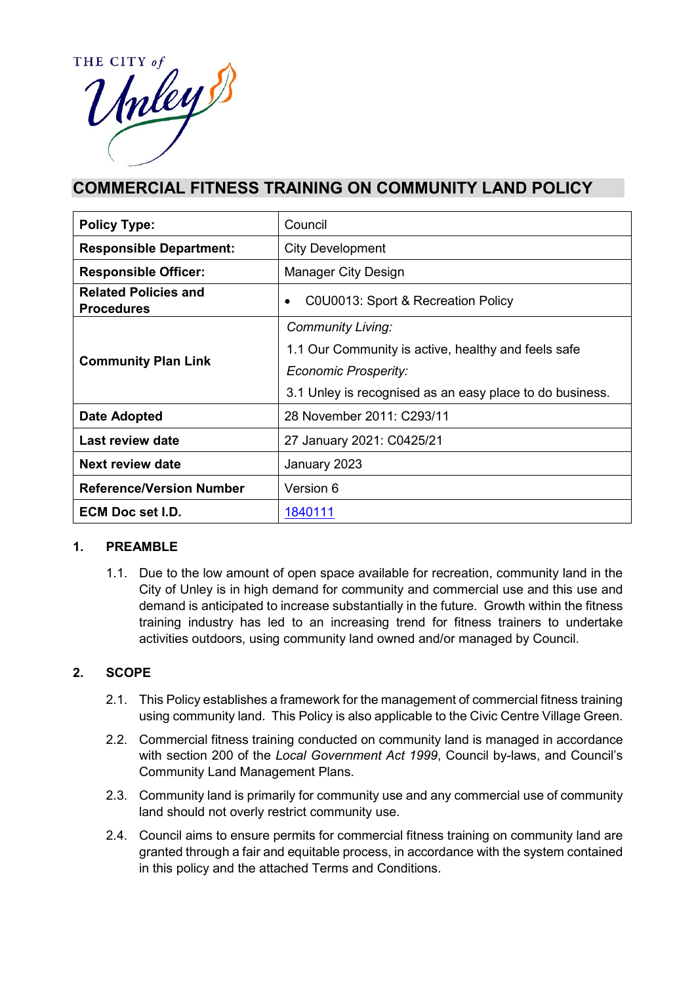

# **COMMERCIAL FITNESS TRAINING ON COMMUNITY LAND POLICY**

| <b>Policy Type:</b>                              | Council                                                  |  |  |
|--------------------------------------------------|----------------------------------------------------------|--|--|
| <b>Responsible Department:</b>                   | <b>City Development</b>                                  |  |  |
| <b>Responsible Officer:</b>                      | Manager City Design                                      |  |  |
| <b>Related Policies and</b><br><b>Procedures</b> | C0U0013: Sport & Recreation Policy<br>٠                  |  |  |
| <b>Community Plan Link</b>                       | <b>Community Living:</b>                                 |  |  |
|                                                  | 1.1 Our Community is active, healthy and feels safe      |  |  |
|                                                  | <b>Economic Prosperity:</b>                              |  |  |
|                                                  | 3.1 Unley is recognised as an easy place to do business. |  |  |
| Date Adopted                                     | 28 November 2011: C293/11                                |  |  |
| Last review date                                 | 27 January 2021: C0425/21                                |  |  |
| Next review date                                 | January 2023                                             |  |  |
| <b>Reference/Version Number</b>                  | Version 6                                                |  |  |
| <b>ECM Doc set I.D.</b>                          | 1840111                                                  |  |  |

#### **1. PREAMBLE**

1.1. Due to the low amount of open space available for recreation, community land in the City of Unley is in high demand for community and commercial use and this use and demand is anticipated to increase substantially in the future. Growth within the fitness training industry has led to an increasing trend for fitness trainers to undertake activities outdoors, using community land owned and/or managed by Council.

### **2. SCOPE**

- 2.1. This Policy establishes a framework for the management of commercial fitness training using community land. This Policy is also applicable to the Civic Centre Village Green.
- 2.2. Commercial fitness training conducted on community land is managed in accordance with section 200 of the *Local Government Act 1999*, Council by-laws, and Council's Community Land Management Plans.
- 2.3. Community land is primarily for community use and any commercial use of community land should not overly restrict community use.
- 2.4. Council aims to ensure permits for commercial fitness training on community land are granted through a fair and equitable process, in accordance with the system contained in this policy and the attached Terms and Conditions.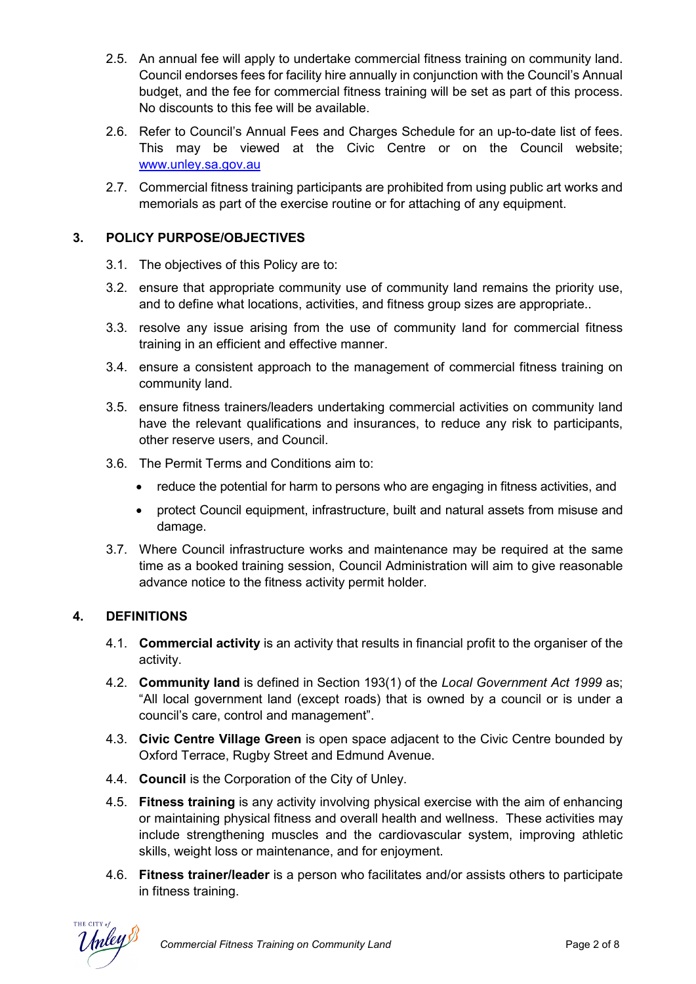- 2.5. An annual fee will apply to undertake commercial fitness training on community land. Council endorses fees for facility hire annually in conjunction with the Council's Annual budget, and the fee for commercial fitness training will be set as part of this process. No discounts to this fee will be available.
- 2.6. Refer to Council's Annual Fees and Charges Schedule for an up-to-date list of fees. This may be viewed at the Civic Centre or on the Council website; [www.unley.sa.gov.au](http://www.unley.sa.gov.au/)
- 2.7. Commercial fitness training participants are prohibited from using public art works and memorials as part of the exercise routine or for attaching of any equipment.

### **3. POLICY PURPOSE/OBJECTIVES**

- 3.1. The objectives of this Policy are to:
- 3.2. ensure that appropriate community use of community land remains the priority use, and to define what locations, activities, and fitness group sizes are appropriate..
- 3.3. resolve any issue arising from the use of community land for commercial fitness training in an efficient and effective manner.
- 3.4. ensure a consistent approach to the management of commercial fitness training on community land.
- 3.5. ensure fitness trainers/leaders undertaking commercial activities on community land have the relevant qualifications and insurances, to reduce any risk to participants, other reserve users, and Council.
- 3.6. The Permit Terms and Conditions aim to:
	- reduce the potential for harm to persons who are engaging in fitness activities, and
	- protect Council equipment, infrastructure, built and natural assets from misuse and damage.
- 3.7. Where Council infrastructure works and maintenance may be required at the same time as a booked training session, Council Administration will aim to give reasonable advance notice to the fitness activity permit holder.

### **4. DEFINITIONS**

- 4.1. **Commercial activity** is an activity that results in financial profit to the organiser of the activity.
- 4.2. **Community land** is defined in Section 193(1) of the *Local Government Act 1999* as; "All local government land (except roads) that is owned by a council or is under a council's care, control and management".
- 4.3. **Civic Centre Village Green** is open space adjacent to the Civic Centre bounded by Oxford Terrace, Rugby Street and Edmund Avenue.
- 4.4. **Council** is the Corporation of the City of Unley.
- 4.5. **Fitness training** is any activity involving physical exercise with the aim of enhancing or maintaining physical fitness and overall health and wellness. These activities may include strengthening muscles and the cardiovascular system, improving athletic skills, weight loss or maintenance, and for enjoyment.
- 4.6. **Fitness trainer/leader** is a person who facilitates and/or assists others to participate in fitness training.

THE CITY of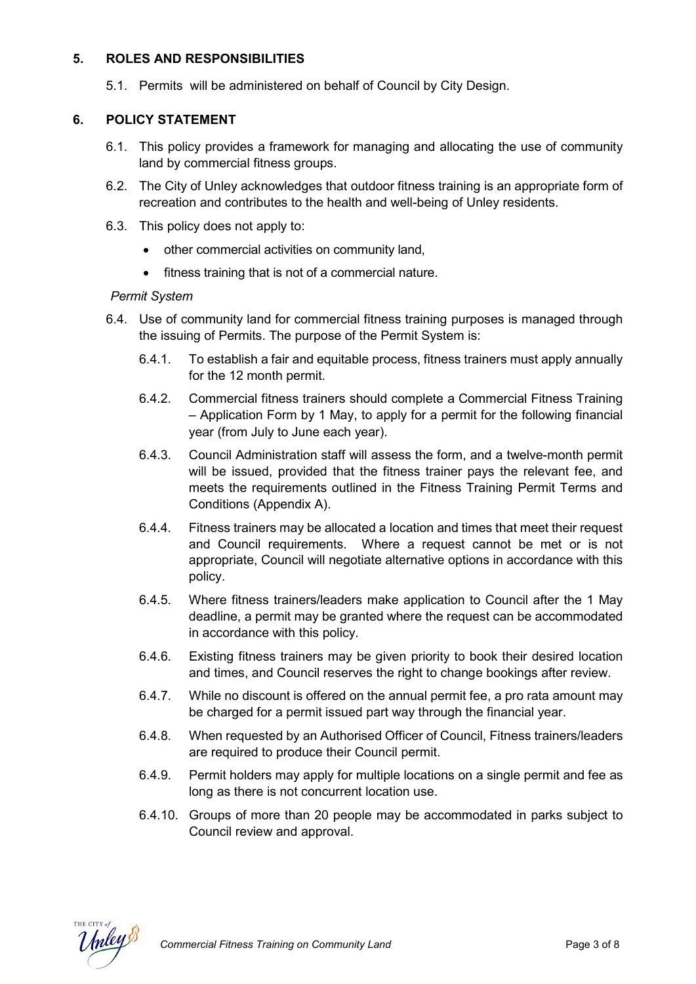### **5. ROLES AND RESPONSIBILITIES**

5.1. Permits will be administered on behalf of Council by City Design.

#### **6. POLICY STATEMENT**

- 6.1. This policy provides a framework for managing and allocating the use of community land by commercial fitness groups.
- 6.2. The City of Unley acknowledges that outdoor fitness training is an appropriate form of recreation and contributes to the health and well-being of Unley residents.
- 6.3. This policy does not apply to:
	- other commercial activities on community land,
	- fitness training that is not of a commercial nature.

#### *Permit System*

- 6.4. Use of community land for commercial fitness training purposes is managed through the issuing of Permits. The purpose of the Permit System is:
	- 6.4.1. To establish a fair and equitable process, fitness trainers must apply annually for the 12 month permit.
	- 6.4.2. Commercial fitness trainers should complete a Commercial Fitness Training – Application Form by 1 May, to apply for a permit for the following financial year (from July to June each year).
	- 6.4.3. Council Administration staff will assess the form, and a twelve-month permit will be issued, provided that the fitness trainer pays the relevant fee, and meets the requirements outlined in the Fitness Training Permit Terms and Conditions (Appendix A).
	- 6.4.4. Fitness trainers may be allocated a location and times that meet their request and Council requirements. Where a request cannot be met or is not appropriate, Council will negotiate alternative options in accordance with this policy.
	- 6.4.5. Where fitness trainers/leaders make application to Council after the 1 May deadline, a permit may be granted where the request can be accommodated in accordance with this policy.
	- 6.4.6. Existing fitness trainers may be given priority to book their desired location and times, and Council reserves the right to change bookings after review.
	- 6.4.7. While no discount is offered on the annual permit fee, a pro rata amount may be charged for a permit issued part way through the financial year.
	- 6.4.8. When requested by an Authorised Officer of Council, Fitness trainers/leaders are required to produce their Council permit.
	- 6.4.9. Permit holders may apply for multiple locations on a single permit and fee as long as there is not concurrent location use.
	- 6.4.10. Groups of more than 20 people may be accommodated in parks subject to Council review and approval.

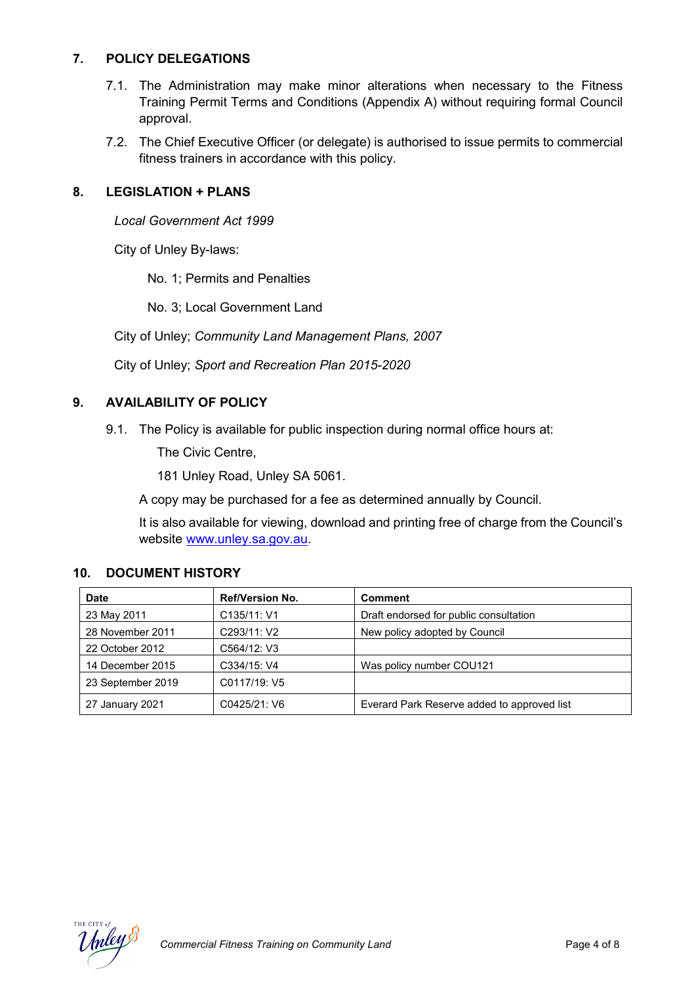### **7. POLICY DELEGATIONS**

- 7.1. The Administration may make minor alterations when necessary to the Fitness Training Permit Terms and Conditions (Appendix A) without requiring formal Council approval.
- 7.2. The Chief Executive Officer (or delegate) is authorised to issue permits to commercial fitness trainers in accordance with this policy.

### **8. LEGISLATION + PLANS**

*Local Government Act 1999*

City of Unley By-laws:

No. 1; Permits and Penalties

No. 3; Local Government Land

City of Unley; *Community Land Management Plans, 2007*

City of Unley; *Sport and Recreation Plan 2015-2020*

### **9. AVAILABILITY OF POLICY**

9.1. The Policy is available for public inspection during normal office hours at:

The Civic Centre,

181 Unley Road, Unley SA 5061.

A copy may be purchased for a fee as determined annually by Council.

It is also available for viewing, download and printing free of charge from the Council's website www.unley.sa.gov.au.

#### **10. DOCUMENT HISTORY**

| <b>Date</b>       | <b>Ref/Version No.</b> | <b>Comment</b>                              |  |
|-------------------|------------------------|---------------------------------------------|--|
| 23 May 2011       | C135/11: V1            | Draft endorsed for public consultation      |  |
| 28 November 2011  | C293/11: V2            | New policy adopted by Council               |  |
| 22 October 2012   | C564/12: V3            |                                             |  |
| 14 December 2015  | C334/15: V4            | Was policy number COU121                    |  |
| 23 September 2019 | C0117/19: V5           |                                             |  |
| 27 January 2021   | C0425/21: V6           | Everard Park Reserve added to approved list |  |

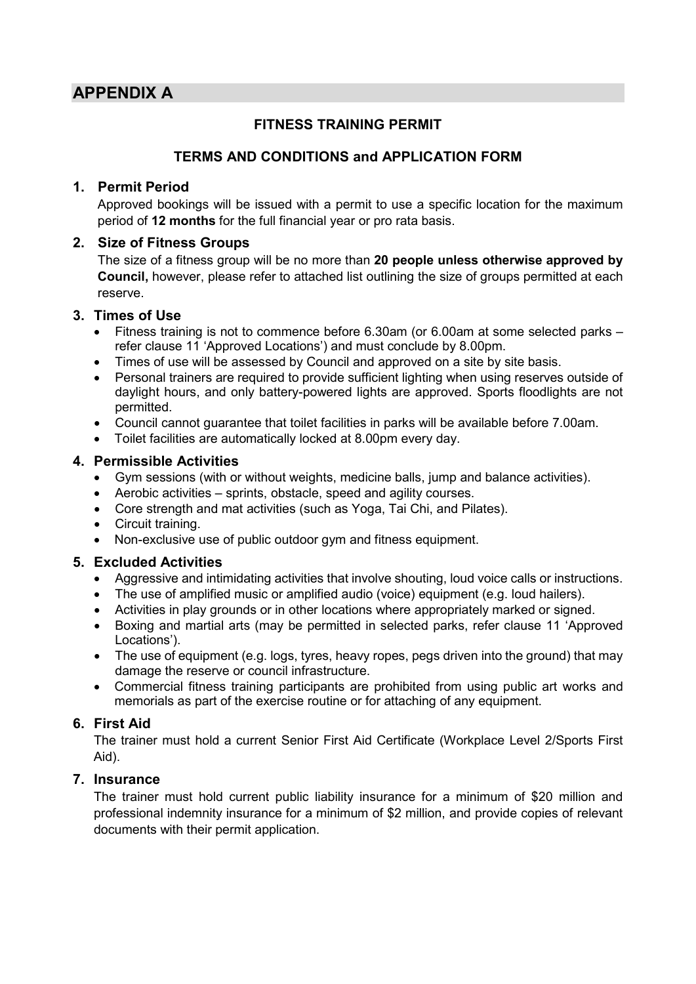# **APPENDIX A**

# **FITNESS TRAINING PERMIT**

# **TERMS AND CONDITIONS and APPLICATION FORM**

# **1. Permit Period**

Approved bookings will be issued with a permit to use a specific location for the maximum period of **12 months** for the full financial year or pro rata basis.

## **2. Size of Fitness Groups**

The size of a fitness group will be no more than **20 people unless otherwise approved by Council,** however, please refer to attached list outlining the size of groups permitted at each reserve.

## **3. Times of Use**

- Fitness training is not to commence before 6.30am (or 6.00am at some selected parks refer clause 11 'Approved Locations') and must conclude by 8.00pm.
- Times of use will be assessed by Council and approved on a site by site basis.
- Personal trainers are required to provide sufficient lighting when using reserves outside of daylight hours, and only battery-powered lights are approved. Sports floodlights are not permitted.
- Council cannot guarantee that toilet facilities in parks will be available before 7.00am.
- Toilet facilities are automatically locked at 8.00pm every day.

# **4. Permissible Activities**

- Gym sessions (with or without weights, medicine balls, jump and balance activities).
- Aerobic activities sprints, obstacle, speed and agility courses.
- Core strength and mat activities (such as Yoga, Tai Chi, and Pilates).
- Circuit training.
- Non-exclusive use of public outdoor gym and fitness equipment.

# **5. Excluded Activities**

- Aggressive and intimidating activities that involve shouting, loud voice calls or instructions.
- The use of amplified music or amplified audio (voice) equipment (e.g. loud hailers).
- Activities in play grounds or in other locations where appropriately marked or signed.
- Boxing and martial arts (may be permitted in selected parks, refer clause 11 'Approved Locations').
- The use of equipment (e.g. logs, tyres, heavy ropes, pegs driven into the ground) that may damage the reserve or council infrastructure.
- Commercial fitness training participants are prohibited from using public art works and memorials as part of the exercise routine or for attaching of any equipment.

# **6. First Aid**

The trainer must hold a current Senior First Aid Certificate (Workplace Level 2/Sports First Aid).

# **7. Insurance**

The trainer must hold current public liability insurance for a minimum of \$20 million and professional indemnity insurance for a minimum of \$2 million, and provide copies of relevant documents with their permit application.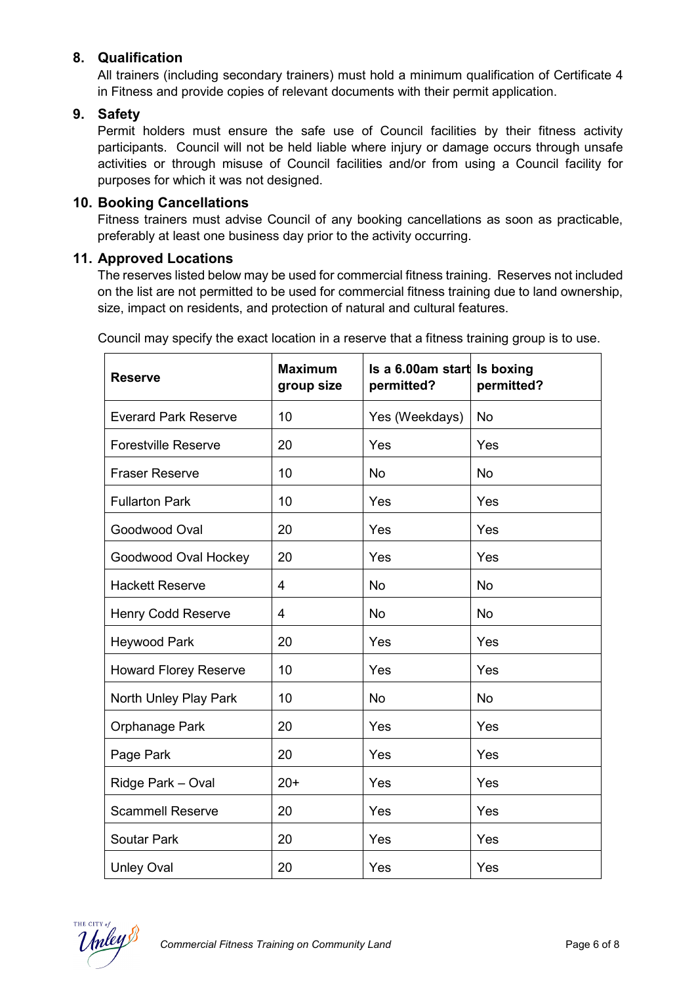# **8. Qualification**

All trainers (including secondary trainers) must hold a minimum qualification of Certificate 4 in Fitness and provide copies of relevant documents with their permit application.

#### **9. Safety**

Permit holders must ensure the safe use of Council facilities by their fitness activity participants. Council will not be held liable where injury or damage occurs through unsafe activities or through misuse of Council facilities and/or from using a Council facility for purposes for which it was not designed.

#### **10. Booking Cancellations**

Fitness trainers must advise Council of any booking cancellations as soon as practicable, preferably at least one business day prior to the activity occurring.

#### **11. Approved Locations**

The reserves listed below may be used for commercial fitness training. Reserves not included on the list are not permitted to be used for commercial fitness training due to land ownership, size, impact on residents, and protection of natural and cultural features.

| <b>Reserve</b>               | <b>Maximum</b><br>group size | Is a 6.00am start Is boxing<br>permitted? | permitted? |
|------------------------------|------------------------------|-------------------------------------------|------------|
| <b>Everard Park Reserve</b>  | 10                           | Yes (Weekdays)                            | <b>No</b>  |
| <b>Forestville Reserve</b>   | 20                           | Yes                                       | Yes        |
| <b>Fraser Reserve</b>        | 10                           | <b>No</b>                                 | <b>No</b>  |
| <b>Fullarton Park</b>        | 10                           | Yes                                       | Yes        |
| Goodwood Oval                | 20                           | Yes                                       | Yes        |
| Goodwood Oval Hockey         | 20                           | Yes                                       | Yes        |
| <b>Hackett Reserve</b>       | 4                            | <b>No</b>                                 | <b>No</b>  |
| <b>Henry Codd Reserve</b>    | 4                            | <b>No</b>                                 | <b>No</b>  |
| <b>Heywood Park</b>          | 20                           | Yes                                       | Yes        |
| <b>Howard Florey Reserve</b> | 10                           | Yes                                       | Yes        |
| North Unley Play Park        | 10                           | <b>No</b>                                 | <b>No</b>  |
| Orphanage Park               | 20                           | Yes                                       | Yes        |
| Page Park                    | 20                           | Yes                                       | Yes        |
| Ridge Park - Oval            | $20+$                        | Yes                                       | Yes        |
| <b>Scammell Reserve</b>      | 20                           | Yes                                       | Yes        |
| <b>Soutar Park</b>           | 20                           | Yes                                       | Yes        |
| <b>Unley Oval</b>            | 20                           | Yes                                       | Yes        |

Council may specify the exact location in a reserve that a fitness training group is to use.

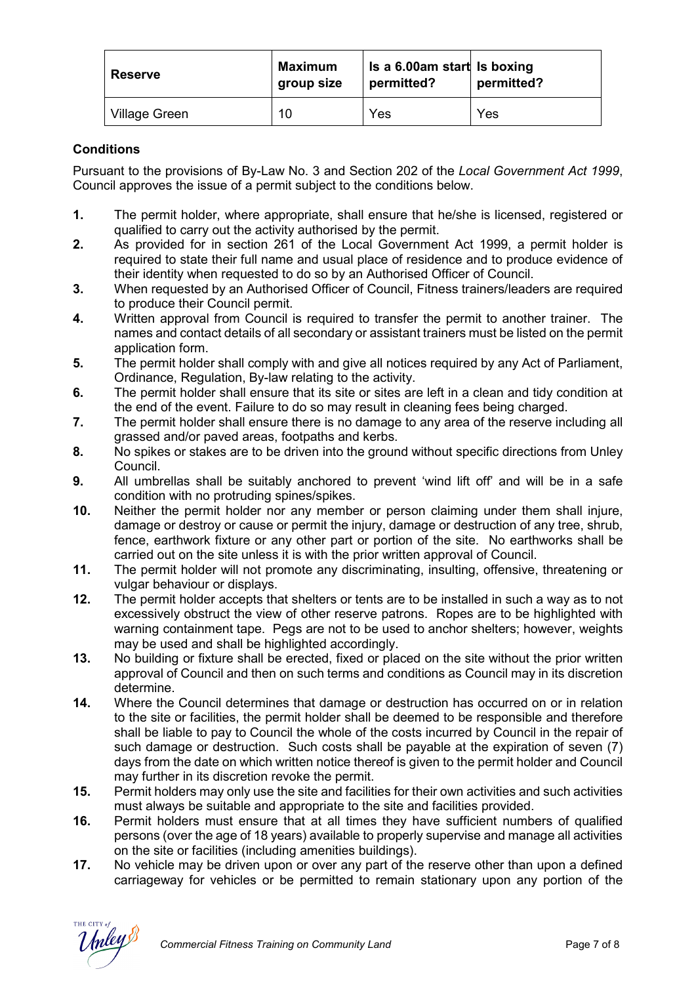| <b>Reserve</b> | Maximum<br>group size | Is a 6.00am start Is boxing<br>permitted? | permitted? |
|----------------|-----------------------|-------------------------------------------|------------|
| Village Green  | 10                    | Yes                                       | Yes        |

#### **Conditions**

Pursuant to the provisions of By-Law No. 3 and Section 202 of the *Local Government Act 1999*, Council approves the issue of a permit subject to the conditions below.

- **1.** The permit holder, where appropriate, shall ensure that he/she is licensed, registered or qualified to carry out the activity authorised by the permit.
- **2.** As provided for in section 261 of the Local Government Act 1999, a permit holder is required to state their full name and usual place of residence and to produce evidence of their identity when requested to do so by an Authorised Officer of Council.
- **3.** When requested by an Authorised Officer of Council, Fitness trainers/leaders are required to produce their Council permit.
- **4.** Written approval from Council is required to transfer the permit to another trainer. The names and contact details of all secondary or assistant trainers must be listed on the permit application form.
- **5.** The permit holder shall comply with and give all notices required by any Act of Parliament, Ordinance, Regulation, By-law relating to the activity.
- **6.** The permit holder shall ensure that its site or sites are left in a clean and tidy condition at the end of the event. Failure to do so may result in cleaning fees being charged.
- **7.** The permit holder shall ensure there is no damage to any area of the reserve including all grassed and/or paved areas, footpaths and kerbs.
- **8.** No spikes or stakes are to be driven into the ground without specific directions from Unley Council.
- **9.** All umbrellas shall be suitably anchored to prevent 'wind lift off' and will be in a safe condition with no protruding spines/spikes.
- **10.** Neither the permit holder nor any member or person claiming under them shall injure, damage or destroy or cause or permit the injury, damage or destruction of any tree, shrub, fence, earthwork fixture or any other part or portion of the site. No earthworks shall be carried out on the site unless it is with the prior written approval of Council.
- **11.** The permit holder will not promote any discriminating, insulting, offensive, threatening or vulgar behaviour or displays.
- **12.** The permit holder accepts that shelters or tents are to be installed in such a way as to not excessively obstruct the view of other reserve patrons. Ropes are to be highlighted with warning containment tape. Pegs are not to be used to anchor shelters; however, weights may be used and shall be highlighted accordingly.
- **13.** No building or fixture shall be erected, fixed or placed on the site without the prior written approval of Council and then on such terms and conditions as Council may in its discretion determine.
- **14.** Where the Council determines that damage or destruction has occurred on or in relation to the site or facilities, the permit holder shall be deemed to be responsible and therefore shall be liable to pay to Council the whole of the costs incurred by Council in the repair of such damage or destruction. Such costs shall be payable at the expiration of seven (7) days from the date on which written notice thereof is given to the permit holder and Council may further in its discretion revoke the permit.
- **15.** Permit holders may only use the site and facilities for their own activities and such activities must always be suitable and appropriate to the site and facilities provided.
- **16.** Permit holders must ensure that at all times they have sufficient numbers of qualified persons (over the age of 18 years) available to properly supervise and manage all activities on the site or facilities (including amenities buildings).
- **17.** No vehicle may be driven upon or over any part of the reserve other than upon a defined carriageway for vehicles or be permitted to remain stationary upon any portion of the

THE CITY